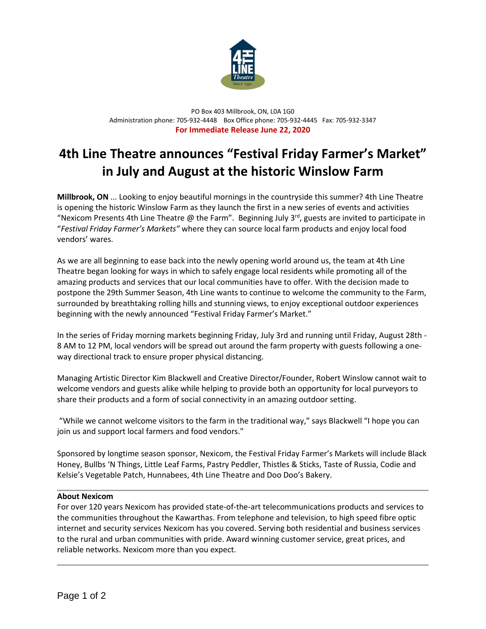

PO Box 403 Millbrook, ON, L0A 1G0 Administration phone: 705-932-4448 Box Office phone: 705-932-4445 Fax: 705-932-3347 **For Immediate Release June 22, 2020**

## **4th Line Theatre announces "Festival Friday Farmer's Market" in July and August at the historic Winslow Farm**

**Millbrook, ON** ... Looking to enjoy beautiful mornings in the countryside this summer? 4th Line Theatre is opening the historic Winslow Farm as they launch the first in a new series of events and activities "Nexicom Presents 4th Line Theatre @ the Farm". Beginning July 3<sup>rd</sup>, guests are invited to participate in "*Festival Friday Farmer's Markets"* where they can source local farm products and enjoy local food vendors' wares.

As we are all beginning to ease back into the newly opening world around us, the team at 4th Line Theatre began looking for ways in which to safely engage local residents while promoting all of the amazing products and services that our local communities have to offer. With the decision made to postpone the 29th Summer Season, 4th Line wants to continue to welcome the community to the Farm, surrounded by breathtaking rolling hills and stunning views, to enjoy exceptional outdoor experiences beginning with the newly announced "Festival Friday Farmer's Market."

In the series of Friday morning markets beginning Friday, July 3rd and running until Friday, August 28th - 8 AM to 12 PM, local vendors will be spread out around the farm property with guests following a oneway directional track to ensure proper physical distancing.

Managing Artistic Director Kim Blackwell and Creative Director/Founder, Robert Winslow cannot wait to welcome vendors and guests alike while helping to provide both an opportunity for local purveyors to share their products and a form of social connectivity in an amazing outdoor setting.

"While we cannot welcome visitors to the farm in the traditional way," says Blackwell "I hope you can join us and support local farmers and food vendors."

Sponsored by longtime season sponsor, Nexicom, the Festival Friday Farmer's Markets will include Black Honey, Bullbs 'N Things, Little Leaf Farms, Pastry Peddler, Thistles & Sticks, Taste of Russia, Codie and Kelsie's Vegetable Patch, Hunnabees, 4th Line Theatre and Doo Doo's Bakery.

## **About Nexicom**

For over 120 years Nexicom has provided state-of-the-art telecommunications products and services to the communities throughout the Kawarthas. From telephone and television, to high speed fibre optic internet and security services Nexicom has you covered. Serving both residential and business services to the rural and urban communities with pride. Award winning customer service, great prices, and reliable networks. Nexicom more than you expect.